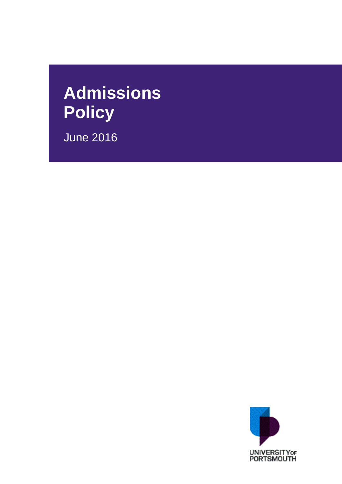# **Admissions Policy**

June 2016

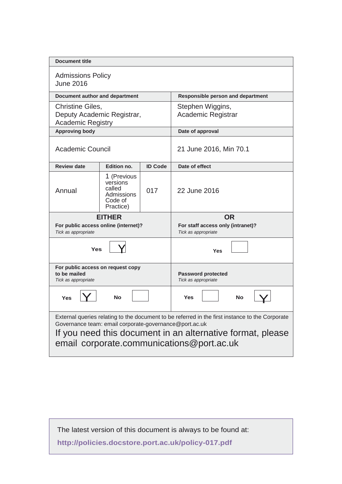| <b>Document title</b>                                                                                                                                                                                                                                                |                                                                         |                |                                                                |  |  |
|----------------------------------------------------------------------------------------------------------------------------------------------------------------------------------------------------------------------------------------------------------------------|-------------------------------------------------------------------------|----------------|----------------------------------------------------------------|--|--|
| <b>Admissions Policy</b><br><b>June 2016</b>                                                                                                                                                                                                                         |                                                                         |                |                                                                |  |  |
| Document author and department                                                                                                                                                                                                                                       |                                                                         |                | <b>Responsible person and department</b>                       |  |  |
| Christine Giles,<br>Deputy Academic Registrar,<br><b>Academic Registry</b>                                                                                                                                                                                           |                                                                         |                | Stephen Wiggins,<br>Academic Registrar                         |  |  |
| <b>Approving body</b>                                                                                                                                                                                                                                                |                                                                         |                | Date of approval                                               |  |  |
| <b>Academic Council</b>                                                                                                                                                                                                                                              |                                                                         |                | 21 June 2016, Min 70.1                                         |  |  |
| <b>Review date</b>                                                                                                                                                                                                                                                   | Edition no.                                                             | <b>ID Code</b> | Date of effect                                                 |  |  |
| Annual                                                                                                                                                                                                                                                               | 1 (Previous<br>versions<br>called<br>Admissions<br>Code of<br>Practice) | 017            | 22 June 2016                                                   |  |  |
| <b>EITHER</b><br>For public access online (internet)?<br>Tick as appropriate                                                                                                                                                                                         |                                                                         |                | OR<br>For staff access only (intranet)?<br>Tick as appropriate |  |  |
| Yes                                                                                                                                                                                                                                                                  |                                                                         |                | Yes                                                            |  |  |
| For public access on request copy<br>to be mailed<br>Tick as appropriate                                                                                                                                                                                             |                                                                         |                | <b>Password protected</b><br>Tick as appropriate               |  |  |
| <b>No</b><br><b>Yes</b>                                                                                                                                                                                                                                              |                                                                         |                | <b>Yes</b><br><b>No</b>                                        |  |  |
| External queries relating to the document to be referred in the first instance to the Corporate<br>Governance team: email corporate-governance@port.ac.uk<br>If you need this document in an alternative format, please<br>email corporate.communications@port.ac.uk |                                                                         |                |                                                                |  |  |

 $\mathcal{L}$ 

The latest version of this document is always to be found at:

**<http://policies.docstore.port.ac.uk/policy-017.pdf>**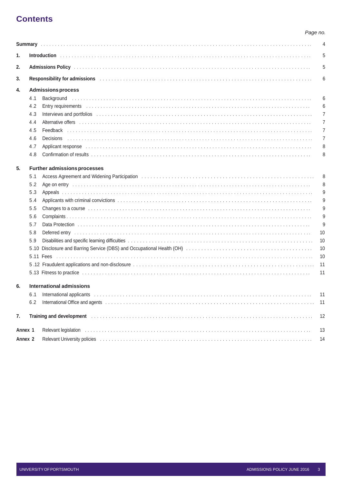## **Contents**

#### Page no.

|                    |     |                                                                                                                                                                                                                                     | 4              |  |  |  |
|--------------------|-----|-------------------------------------------------------------------------------------------------------------------------------------------------------------------------------------------------------------------------------------|----------------|--|--|--|
| 1.                 |     |                                                                                                                                                                                                                                     | 5              |  |  |  |
| 2.                 |     |                                                                                                                                                                                                                                     |                |  |  |  |
| 3.                 |     | Responsibility for admissions with an array and a state of the control of the control of the control of the control of the control of the control of the control of the control of the control of the control of the control o      | 6              |  |  |  |
| 4.                 |     | <b>Admissions process</b>                                                                                                                                                                                                           |                |  |  |  |
|                    | 4.1 |                                                                                                                                                                                                                                     | 6              |  |  |  |
|                    | 4.2 |                                                                                                                                                                                                                                     | 6              |  |  |  |
|                    | 4.3 | Interviews and portfolios excessional contact the control of the control of the control of the control of the control of the control of the control of the control of the control of the control of the control of the control      | 7              |  |  |  |
|                    | 4.4 |                                                                                                                                                                                                                                     | 7              |  |  |  |
|                    | 4.5 |                                                                                                                                                                                                                                     | 7              |  |  |  |
|                    | 4.6 |                                                                                                                                                                                                                                     | $\overline{7}$ |  |  |  |
|                    | 4.7 |                                                                                                                                                                                                                                     | 8              |  |  |  |
|                    | 4.8 |                                                                                                                                                                                                                                     | 8              |  |  |  |
| 5.                 |     | <b>Further admissions processes</b>                                                                                                                                                                                                 |                |  |  |  |
|                    | 5.1 |                                                                                                                                                                                                                                     | 8              |  |  |  |
|                    | 5.2 | Age on entry increased and contact the contract of the contract of the contract of the contract of the contract of the contract of the contract of the contract of the contract of the contract of the contract of the contrac      | 8              |  |  |  |
|                    | 5.3 |                                                                                                                                                                                                                                     | 9              |  |  |  |
|                    | 5.4 |                                                                                                                                                                                                                                     | 9              |  |  |  |
|                    | 5.5 | Changes to a course expansion of the contract of the contract of the contract of the contract of the contract of the contract of the contract of the contract of the contract of the contract of the contract of the contract       | 9              |  |  |  |
|                    | 5.6 |                                                                                                                                                                                                                                     | 9              |  |  |  |
|                    | 5.7 |                                                                                                                                                                                                                                     | 9              |  |  |  |
|                    | 5.8 | Deferred entry with a state of the contract of the contract of the contract of the contract of the contract of the contract of the contract of the contract of the contract of the contract of the contract of the contract of      | 10             |  |  |  |
|                    | 5.9 |                                                                                                                                                                                                                                     | 10             |  |  |  |
|                    |     |                                                                                                                                                                                                                                     | 10             |  |  |  |
|                    |     |                                                                                                                                                                                                                                     | 10             |  |  |  |
|                    |     |                                                                                                                                                                                                                                     | 11             |  |  |  |
|                    |     |                                                                                                                                                                                                                                     | 11             |  |  |  |
| 6.                 |     | International admissions                                                                                                                                                                                                            |                |  |  |  |
|                    |     | 6.1 International applicants                                                                                                                                                                                                        | 11             |  |  |  |
|                    | 6.2 |                                                                                                                                                                                                                                     | -11            |  |  |  |
| 7.                 |     | Training and development <b>exploration and the construction of the constant of the construction</b> of the construction of the construction of the construction of the construction of the construction of the construction of the | 12             |  |  |  |
| Annex 1            |     |                                                                                                                                                                                                                                     | 13             |  |  |  |
| Annex <sub>2</sub> |     | Relevant University policies (and according to the control of the control of the control of the control of the control of the control of the control of the control of the control of the control of the control of the contro      | 14             |  |  |  |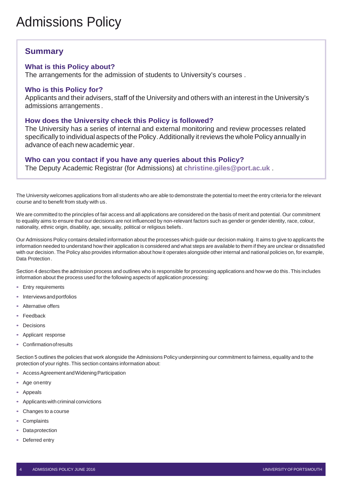## Admissions Policy

## <span id="page-3-0"></span>**Summary**

#### **What is this Policy about?**

The arrangements for the admission of students to University's courses .

#### **Who is this Policy for?**

Applicants and their advisers, staff of the University and others with an interest in the University's admissions arrangements .

#### **How does the University check this Policy is followed?**

The University has a series of internal and external monitoring and review processes related specifically to individual aspects of the Policy. Additionally it reviews the whole Policy annually in advance of each new academic year.

#### **Who can you contact if you have any queries about this Policy?**

The Deputy Academic Registrar (for Admissions) at **[christine.giles@port.ac.uk](mailto:christine.giles@port.ac.uk)** .

The University welcomes applications from all students who are able to demonstrate the potential to meet the entry criteria for the relevant course and to benefit from study with us.

We are committed to the principles of fair access and all applications are considered on the basis of merit and potential. Our commitment to equality aims to ensure that our decisions are not influenced by non-relevant factors such as gender or gender identity, race, colour, nationality, ethnic origin, disability, age, sexuality, political or religious beliefs .

Our Admissions Policy contains detailed information about the processes which guide our decision making. It aims to give to applicants the information needed to understand how their application is considered and what steps are available to them if they are unclear or dissatisfied with our decision. The Policy also provides information about how it operates alongside other internal and national policies on, for example, Data Protection .

Section 4 describes the admission process and outlines who is responsible for processing applications and how we do this. This includes information about the process used for the following aspects of application processing:

- Entry requirements
- Interviewsandportfolios
- Alternative offers
- **Feedback**
- **Decisions**
- Applicant response
- **Confirmation of results**

Section 5 outlines the policies that work alongside the Admissions Policy underpinning our commitment to fairness, equality and to the protection of your rights. This section contains information about:

- Access Agreement and Widening Participation
- Age onentry
- Appeals
- Applicants with criminal convictions
- Changes to a course
- **Complaints**
- Data protection
- Deferred entry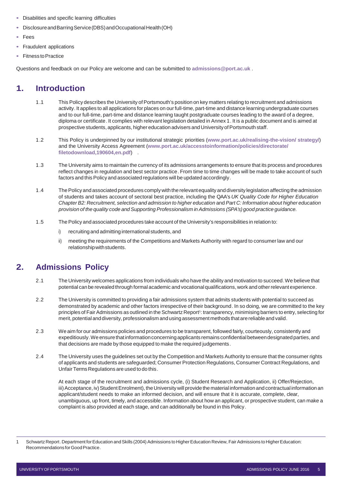- Disabilities and specific learning difficulties
- DisclosureandBarringService(DBS)andOccupationalHealth(OH)
- Fees
- Fraudulent applications
- **Fitness to Practice**

Questions and feedback on our Policy are welcome and can be submitted to **[admissions@port.ac.uk](mailto:Admissions@port.ac.uk)** .

## <span id="page-4-0"></span>**1. Introduction**

- 1.1 This Policy describes the University of Portsmouth's position on key matters relating to recruitment and admissions activity. It applies to all applications for places on our full-time, part-time and distance learning undergraduate courses and to our full-time, part-time and distance learning taught postgraduate courses leading to the award of a degree, diploma or certificate. It complies with relevant legislation detailed in Annex 1. It is a public document and is aimed at prospective students, applicants, higher education advisers and University of Portsmouth staff.
- 1.2 This Policy is underpinned by our institutional strategic priorities (**[www.port.ac.uk/realising-the-vision/](http://www.port.ac.uk/realising-the-vision/strategy/) [strategy/](http://www.port.ac.uk/realising-the-vision/strategy/)**) and the University Access Agreement (**[www.port.ac.uk/accesstoinformation/policies/directorate/](http://www.port.ac.uk/accesstoinformation/policies/directorate/filetodownload%2C190604%2Cen.pdf) [filetodownload,190604,en.pdf](http://www.port.ac.uk/accesstoinformation/policies/directorate/filetodownload%2C190604%2Cen.pdf)**) .
- 1.3 The University aims to maintain the currency of its admissions arrangements to ensure that its process and procedures reflect changes in regulation and best sector practice. From time to time changes will be made to take account of such factors and this Policy and associated regulations will be updated accordingly.
- 1.4 ThePolicy and associated procedures complywith the relevantequality and diversity legislation affecting the admission of students and takes account of sectoral best practice, including the QAA's *UK Quality Code for Higher Education Chapter B2: Recruitment, selection and admission to higher education* and *Part C: Information about higher education provision of the quality code and Supporting Professionalism in Admissions (SPA's)good practice guidance.*
- 1.5 ThePolicy and associated procedures take account of the University's responsibilities in relation to:
	- i) recruiting and admitting international students, and
	- ii) meeting the requirements of the Competitions and Markets Authority with regard to consumer law and our relationshipwithstudents.

## <span id="page-4-1"></span>**2. Admissions Policy**

- 2.1 The University welcomes applications from individuals who have the ability and motivation to succeed.We believe that potential can be revealed through formal academic and vocational qualifications, work and otherrelevant experience.
- 2.2 The University is committed to providing a fair admissions system that admits students with potential to succeed as demonstrated by academic and other factors irrespective of their background. In so doing, we are committed to the key principles of Fair Admissions as outlined in the Schwartz Report1: transparency, minimising barriers to entry, selecting for merit, potential and diversity, professionalism and using assessment methods that are reliable and valid.
- 2.3 We aim for our admissions policies and procedures to be transparent, followed fairly, courteously, consistently and expeditiously. We ensure that information concerning applicants remains confidential between designated parties, and that decisions are made by those equipped to make the required judgements.
- 2.4 The University uses the guidelines set out by the Competition and Markets Authority to ensure that the consumer rights of applicants and students are safeguarded; Consumer Protection Regulations, Consumer Contract Regulations, and Unfair Terms Regulations are used to do this.

At each stage of the recruitment and admissions cycle, (i) Student Research and Application, ii) Offer/Rejection, iii) Acceptance, iv) Student Enrolment), the University will provide the material information and contractual information an applicant/student needs to make an informed decision, and will ensure that it is accurate, complete, clear, unambiguous, up front, timely, and accessible. Information about how an applicant, or prospective student, can make a complaint is also provided at each stage, and can additionally be found in this Policy.

Schwartz Report. Department for Education and Skills (2004) Admissions to Higher Education Review, Fair Admissions to Higher Education: Recommendations forGoodPractice.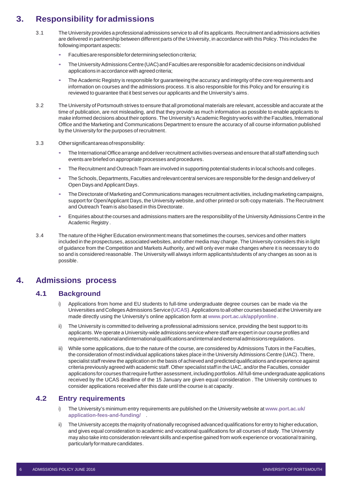## <span id="page-5-0"></span>**3. Responsibility foradmissions**

- 3.1 The University provides a professional admissions service to all of its applicants.Recruitmentand admissions activities are delivered in partnership between different parts of the University, in accordance with this Policy. This includes the following important aspects:
	- Faculties are responsible for determining selection criteria;
	- The University Admissions Centre (UAC) and Faculties are responsible for academic decisions on individual applications in accordance with agreed criteria;
	- The Academic Registry is responsible for guaranteeing the accuracy and integrity of the core requirements and information on courses and the admissions process. It is also responsible for this Policy and for ensuring it is reviewed to guarantee that it best serves our applicants and the University's aims.
- 3.2 The University of Portsmouth strives to ensure that all promotional materials are relevant, accessible and accurate at the time of publication, are not misleading, and that they provide as much information as possible to enable applicants to make informed decisions abouttheir options. The University's Academic Registry works with the Faculties, International Office and the Marketing and Communications Department to ensure the accuracy of all course information published by the University for the purposes of recruitment.
- 3.3 Othersignificantareasofresponsibility:
	- The International Office arrange and deliver recruitment activities overseas and ensure that all staff attending such events are briefed on appropriate processes and procedures.
	- The Recruitment and Outreach Team are involved in supporting potential students in local schools and colleges.
	- The Schools, Departments, Faculties and relevant central services are responsible for the design and delivery of Open Days and Applicant Days.
	- The Directorate of Marketing and Communications manages recruitment activities, including marketing campaigns, support for Open/Applicant Days, the University website, and other printed or soft-copy materials. The Recruitment and Outreach Team is also based in this Directorate.
	- Enquiries about the courses and admissions matters are the responsibility of the UniversityAdmissions Centre in the Academic Registry .
- 3.4 The nature of the Higher Education environment means that sometimes the courses, services and other matters included in the prospectuses, associated websites, and other media may change. The University considers this in light of guidance from the Competition and Markets Authority, and will only ever make changes where it is necessary to do so and is considered reasonable. The University will always inform applicants/students of any changes as soon as is possible.

#### <span id="page-5-2"></span><span id="page-5-1"></span>**4. Admissions process**

#### **4.1 Background**

- i) Applications from home and EU students to full-time undergraduate degree courses can be made via the Universities and Colleges Admissions Service ([UCAS](http://www.ucas.com/apply)). Applications to all other courses based at the University are made directly using the University's online application form at **[www.port.ac.uk/applyonline](http://www.port.ac.uk/applyonline)**.
- ii) The University is committed to delivering a professional admissions service, providing the best support to its applicants.We operate a University-wide admissions service where staff are expert in our course profiles and requirements, national and international qualifications and internal and external admissions requlations.
- While some applications, due to the nature of the course, are considered by Admissions Tutors in the Faculties, the consideration of most individual applications takes place in the University Admissions Centre (UAC). There, specialist staffreview the application on the basis of achieved and predicted qualifications and experience against criteria previously agreed with academic staff.Other specialist staff in the UAC, and/orthe Faculties, consider applications for courses that require further assessment, including portfolios. All full-time undergraduate applications received by the UCAS deadline of the 15 January are given equal consideration . The University continues to consider applications received after this date until the course is at capacity.

#### <span id="page-5-3"></span>**4.2 Entry requirements**

- i) The University's minimum entry requirements are published on the University website at **[www.port.ac.uk/](http://www.port.ac.uk/application-fees-and-funding/) [application-fees-and-funding/](http://www.port.ac.uk/application-fees-and-funding/)** .
- ii) The University accepts the majority of nationally recognised advanced qualifications for entry to higher education, and gives equal consideration to academic and vocational qualifications for all courses of study. The University may also take into consideration relevant skills and expertise gained from work experience or vocational training, particularly for mature candidates.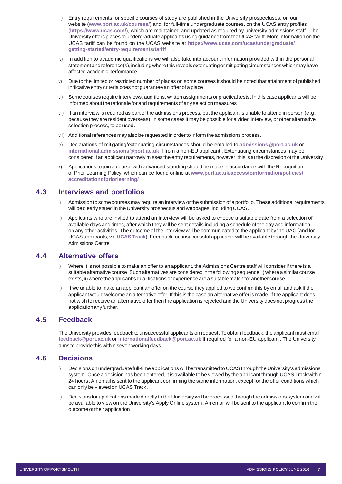- iii) Entry requirements for specific courses of study are published in the University prospectuses, on our website (**[www.port.ac.uk/courses/](http://www.port.ac.uk/courses/)**) and, for full-time undergraduate courses, on the UCAS entry profiles (**<https://www.ucas.com/>**), which are maintained and updated as required by university admissions staff . The University offers places to undergraduate applicants using guidance from the UCAStariff. More information on the UCAS tariff can be found on the UCAS website at **[https://www.ucas.com/ucas/undergraduate/](https://www.ucas.com/ucas/undergraduate/getting-started/entry-requirements/tariff) [getting-started/entry-requirements/tariff](https://www.ucas.com/ucas/undergraduate/getting-started/entry-requirements/tariff)** .
- iv) In addition to academic qualifications we will also take into account information provided within the personal statement and reference(s), including where this reveals extenuating or mitigating circumstances which may have affected academic performance .
- v) Due to the limited or restricted number of places on some courses it should be noted that attainment of published indicative entry criteria does not guarantee an offer of a place.
- vi) Some courses require interviews, auditions, written assignments or practical tests. In this case applicants will be informed about the rationale forand requirements of any selection measures.
- vii) If an interview is required as part of the admissions process, but the applicant is unable to attend in person (e.g. because they are resident overseas), in some cases it may be possible for a video interview, or other alternative selection process, to be used.
- viii) Additional references may also be requested in orderto inform the admissions process.
- ix) Declarations of mitigating/extenuating circumstances should be emailed to **[admissions@port.ac.uk](mailto:admissions@port.ac.uk)** o[r](mailto:international.admissions@port.ac.uk) **[international.admissions@port.ac.uk](mailto:international.admissions@port.ac.uk)** if from a non-EU applicant . Extenuating circumstances may be considered if an applicant narrowly misses the entry requirements, however, this is at the discretion of the University.
- x) Applications to join a course with advanced standing should be made in accordance with the Recognition of Prior Learning Policy, which can be found online at **[www.port.ac.uk/accesstoinformation/policies/](http://www.port.ac.uk/accesstoinformation/policies/accreditationofpriorlearning/) [accreditationofpriorlearning/](http://www.port.ac.uk/accesstoinformation/policies/accreditationofpriorlearning/)** .

#### <span id="page-6-0"></span>**4.3 Interviews and portfolios**

- i) Admission to some courses may require an interview or the submission of a portfolio. These additional requirements will be clearly stated in the University prospectus and webpages, including UCAS.
- ii) Applicants who are invited to attend an interview will be asked to choose a suitable date from a selection of available days and times, after which they will be sent details including a schedule of the day and information on any other activities. The outcome of the interview will be communicated to the applicant by the UAC (and for UCAS applicants, via **[UCAS](https://track.ucas.com/) Track**). Feedback for unsuccessful applicants will be available through the University Admissions Centre .

#### <span id="page-6-1"></span>**4.4 Alternative offers**

- Where it is not possible to make an offer to an applicant, the Admissions Centre staff will consider if there is a suitable alternative course. Such alternatives are considered in the following sequence: i) where a similar course exists, ii) where the applicant's qualifications or experience area suitable match for another course.
- If we unable to make an applicant an offer on the course they applied to we confirm this by email and ask if the applicant would welcome an alternative offer. If this is the case an alternative offer is made, if the applicant does not wish to receive an alternative offer then the application is rejected and the University does not progress the applicationanyfurther.

#### <span id="page-6-2"></span>**4.5 Feedback**

The University provides feedback to unsuccessful applicants on request. Toobtain feedback, the applicant must email **[feedback@port.ac.uk](mailto:feedback@port.ac.uk)** or **[internationalfeedback@port.ac.uk](mailto:internationalfeedback@port.ac.uk)** if required for a non-EU applicant . The University aims to provide this within seven working days.

#### <span id="page-6-3"></span>**4.6 Decisions**

- i) Decisions on undergraduate full-time applications will be transmitted to UCASthrough the University's admissions system. Once a decision has been entered, it is available to be viewed by the applicant through UCAS Track within 24 hours. An email is sent to the applicant confirming the same information, except for the offer conditions which can only be viewed on UCAS Track.
- Decisions for applications made directly to the University will be processed through the admissions system and will be available to view on the University's Apply Online system. An email will be sent to the applicant to confirm the outcome of their application.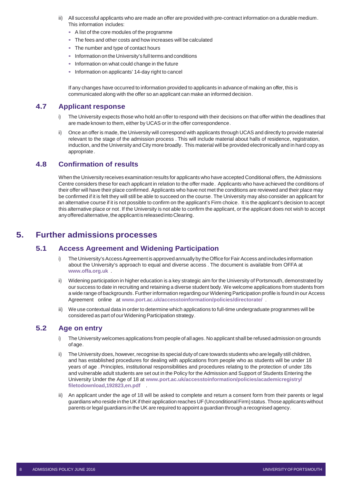- iii) All successful applicants who are made an offer are provided with pre-contract information on a durable medium. This information includes:
	- A list of the core modules of the programme
	- The fees and other costs and how increases will be calculated
	- The number and type of contact hours
	- Information on the University's full terms and conditions
	- Information on what could change in the future
	- Information on applicants' 14-day right to cancel

If any changes have occurred to information provided to applicants in advance of making an offer, this is communicated along with the offer so an applicant can make an informed decision.

#### <span id="page-7-0"></span>**4.7 Applicant response**

- i) The University expects those who hold an offer to respond with their decisions on that offer within the deadlines that are made known to them, either by UCAS or in the offer correspondence.
- ii) Once an offer is made, the University will correspond with applicants through UCAS and directly to provide material relevant to the stage of the admission process . This will include material about halls of residence, registration, induction, and the University and City more broadly. This material will be provided electronically and in hard copy as appropriate .

#### <span id="page-7-1"></span>**4.8 Confirmation of results**

When the University receives examination results for applicants who have accepted Conditional offers, the Admissions Centre considers these for each applicant in relation to the offer made. Applicants who have achieved the conditions of their offer will have their place confirmed. Applicants who have not met the conditions are reviewed and their place may be confirmed if it is felt they will still be able to succeed on the course. The University may also consider an applicant for an alternative course if it is not possible to confirm on the applicant's Firm choice. It is the applicant's decision to accept this alternative place or not. If the University is not able to confirm the applicant, or the applicant does not wish to accept any offered alternative, the applicant is released into Clearing.

## <span id="page-7-3"></span><span id="page-7-2"></span>**5. Further admissions processes**

#### **5.1 Access Agreement and Widening Participation**

- i) The University's Access Agreement is approved annually by the Office for Fair Access and includes information about the University's approach to equal and diverse access . The document is available from OFFA at **[www.offa.org.uk](http://www.offa.org.uk/)** .
- ii) Widening participation in higher education is a key strategic aim for the University of Portsmouth, demonstrated by our success to date in recruiting and retaining a diverse student body. We welcome applications from students from a wide range of backgrounds. Further information regarding our Widening Participation profile is found in our Access Agreement online at **[www.port.ac.uk/accesstoinformation/policies/directorate/](http://www.port.ac.uk/accesstoinformation/policies/directorate/)** .
- iii) We use contextual data in order to determine which applications to full-time undergraduate programmes will be considered as part of our Widening Participation strategy.

#### <span id="page-7-4"></span>**5.2 Age on entry**

- i) The University welcomes applications from people of all ages. No applicant shall be refused admission on grounds of age.
- ii) The University does, however, recognise its special duty of care towards students who are legally still children, and has established procedures for dealing with applications from people who as students will be under 18 years of age . Principles, institutional responsibilities and procedures relating to the protection of under 18s and vulnerable adult students are set out in the Policy for the Admission and Support of Students Entering the University Under the Age of 18 at **[www.port.ac.uk/accesstoinformation/policies/academicregistry/](http://www.port.ac.uk/accesstoinformation/policies/academicregistry/filetodownload%2C192823%2Cen.pdf) [filetodownload,192823,en.pdf](http://www.port.ac.uk/accesstoinformation/policies/academicregistry/filetodownload%2C192823%2Cen.pdf)** .
- iii) An applicant under the age of 18 will be asked to complete and return a consent form from their parents or legal guardians who reside in the UK if their application reaches UF (Unconditional Firm) status. Those applicants without parents or legal guardians in the UK are required to appoint a guardian through a recognised agency.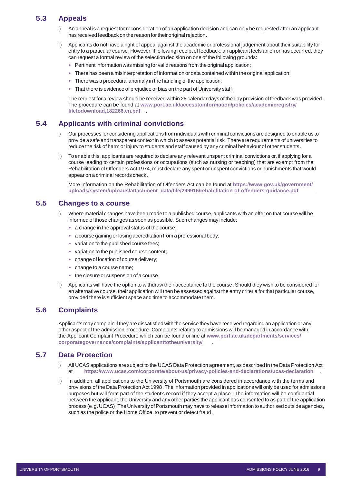#### <span id="page-8-0"></span>**5.3 Appeals**

- An appeal is a request for reconsideration of an application decision and can only be requested after an applicant has received feedback on the reason for their original rejection.
- ii) Applicants do not have a right of appeal against the academic or professional judgement about their suitability for entry to a particular course. However, if following receipt of feedback, an applicant feels an error has occurred, they can request a formal review of the selection decision on one of the following grounds:
	- Pertinent information was missing for valid reasons from the original application;
	- There has been a misinterpretation of information or data contained within the original application;
	- There was a procedural anomaly in the handling of the application;
	- That there is evidence of prejudice or bias on the part of University staff.

The request for a review should be received within 28 calendar days of the day provision of feedback was provided. The procedure can be found at **[www.port.ac.uk/accesstoinformation/policies/academicregistry/](http://www.port.ac.uk/accesstoinformation/policies/academicregistry/filetodownload%2C182266%2Cen.pdf) [filetodownload,182266,en.pdf](http://www.port.ac.uk/accesstoinformation/policies/academicregistry/filetodownload%2C182266%2Cen.pdf)** .

#### <span id="page-8-1"></span>**5.4 Applicants with criminal convictions**

- i) Our processes for considering applications from individuals with criminal convictions are designed to enable us to provide a safe and transparent context in which to assess potential risk. There are requirements of universities to reduce the risk of harm or injury to students and staff caused by any criminal behaviour of other students.
- ii) To enable this, applicants are required to declare any relevant unspent criminal convictions or, if applying for a course leading to certain professions or occupations (such as nursing or teaching) that are exempt from the Rehabilitation of Offenders Act 1974, must declare any spent or unspent convictions or punishments that would appear on a criminal records check.

More information on the Rehabilitation of Offenders Act can be found at **[https://www.gov.uk/government/](https://www.gov.uk/government/uploads/system/uploads/attachment_data/file/299916/rehabilitation-of-offenders-guidance.pdf) [uploads/system/uploads/attachment\\_data/file/299916/rehabilitation-of-offenders-guidance.pdf](https://www.gov.uk/government/uploads/system/uploads/attachment_data/file/299916/rehabilitation-of-offenders-guidance.pdf)** .

#### <span id="page-8-2"></span>**5.5 Changes to a course**

- Where material changes have been made to a published course, applicants with an offer on that course will be informed of those changes as soon as possible. Such changes may include:
	- a change in the approval status of the course;
	- a course gaining or losing accreditation from a professional body;
	- variation to the published course fees;
	- variation to the published course content;
	- change of location of course delivery;
	- change to a course name;
	- the closure or suspension of a course.
- ii) Applicants will have the option to withdraw their acceptance to the course. Should they wish to be considered for an alternative course, their application will then be assessed against the entry criteria for that particular course, provided there is sufficient space and time to accommodate them.

#### <span id="page-8-3"></span>**5.6 Complaints**

Applicants may complain if they are dissatisfied with the service they have received regarding an application or any other aspect of the admission procedure. Complaints relating to admissions will be managed in accordance with the Applicant Complaint Procedure which can be found online at **[www.port.ac.uk/departments/services/](http://www.port.ac.uk/departments/services/corporategovernance/complaints/applicanttotheuniversity/) [corporategovernance/complaints/applicanttotheuniversity/](http://www.port.ac.uk/departments/services/corporategovernance/complaints/applicanttotheuniversity/)** .

#### <span id="page-8-4"></span>**5.7 Data Protection**

- i) All UCAS applications are subject to the UCAS Data Protection agreement, as described in the Data Protection Act at **<https://www.ucas.com/corporate/about-us/privacy-policies-and-declarations/ucas-declaration>**.
- ii) In addition, all applications to the University of Portsmouth are considered in accordance with the terms and provisions of the Data Protection Act 1998. The information provided in applications will only be used for admissions purposes but will form part of the student's record if they accept a place . The information will be confidential between the applicant, the University and any other parties the applicant has consented to as part of the application process (e.g. UCAS). The University of Portsmouth may have to release information to authorised outside agencies, such as the police or the Home Office, to prevent or detect fraud.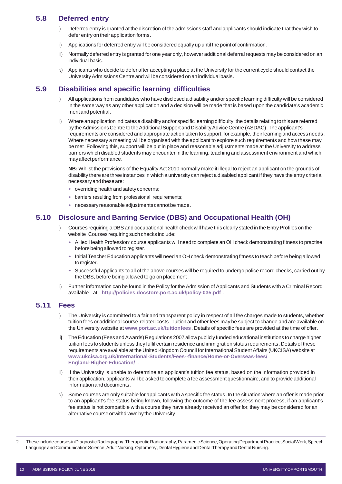#### <span id="page-9-0"></span>**5.8 Deferred entry**

- i) Deferred entry is granted at the discretion of the admissions staff and applicants should indicate that they wish to defer entry on their application forms.
- ii) Applications for deferred entry will be considered equally up until the point of confirmation.
- iii) Normally deferred entry is granted for one year only, however additional deferral requests may be considered on an individual basis.
- iv) Applicants who decide to defer after accepting a place at the University for the current cycle should contact the University Admissions Centre and will be considered on an individual basis.

#### <span id="page-9-1"></span>**5.9 Disabilities and specific learning difficulties**

- All applications from candidates who have disclosed a disability and/or specific learning difficulty will be considered in the same way as any other application and a decision will be made that is based upon the candidate's academic meritandpotential.
- ii) Where an application indicates a disability and/or specific learning difficulty, the details relating to this are referred by the Admissions Centre to the Additional Support and Disability Advice Centre (ASDAC). The applicant's requirements are considered and appropriate action taken to support, for example, their learning and access needs. Where necessary a meeting will be organised with the applicant to explore such requirements and how these may be met. Following this, support will be put in place and reasonable adjustments made at the University to address barriers which disabled students may encounter in the learning, teaching and assessment environment and which mayaffectperformance.

**NB:** Whilst the provisions of the Equality Act 2010 normally make it illegal to reject an applicant on the grounds of disability there are three instances in which a university can reject a disabled applicant if they have the entry criteria necessaryandtheseare:

- overriding health and safety concerns;
- barriers resulting from professional requirements;
- necessary reasonable adjustments cannot be made.

#### <span id="page-9-2"></span>**5.10 Disclosure and Barring Service (DBS) and Occupational Health (OH)**

- Courses requiring a DBS and occupational health check will have this clearly stated in the Entry Profiles on the website.Courses requiring such checks include:
	- Allied Health Profession<sup>2</sup> course applicants will need to complete an OH check demonstrating fitness to practise before being allowed to register.
	- Initial Teacher Education applicants will need an OH check demonstrating fitness to teach before being allowed toregister.
	- Successful applicants to all of the above courses will be required to undergo police record checks, carried out by the DBS, before being allowed to go on placement.
- ii) Further information can be found in the Policy for the Admission of Applicants and Students with a Criminal Record available at **<http://policies.docstore.port.ac.uk/policy-035.pdf>** .

#### <span id="page-9-3"></span>**5.11 Fees**

- i) The University is committed to a fair and transparent policy in respect of all fee charges made to students, whether tuition fees or additional course-related costs. Tuition and other fees may be subject to change and are available on the University website at **[www.port.ac.uk/tuitionfees](http://www.port.ac.uk/tuitionfees)**. Details of specific fees are provided at the time of offer.
- **ii)** The Education (Fees and Awards) Regulations 2007 allow publicly funded educational institutions to charge higher tuition fees to students unless they fulfil certain residence and immigration status requirements. Details of these requirements are available at the United Kingdom Council for International Student Affairs (UKCISA) website at **[www.ukcisa.org.uk/International-Students/Fees--finance/Home-or-Overseas-fees/](http://www.ukcisa.org.uk/International-Students/Fees--finance/Home-or-Overseas-fees/England-Higher-Education/) [England-Higher-Education/](http://www.ukcisa.org.uk/International-Students/Fees--finance/Home-or-Overseas-fees/England-Higher-Education/)** .
- If the University is unable to determine an applicant's tuition fee status, based on the information provided in their application, applicants will be asked to complete a fee assessment questionnaire, and to provide additional information and documents.
- iv) Some courses are only suitable for applicants with a specific fee status. In the situation where an offer is made prior to an applicant's fee status being known, following the outcome of the fee assessment process, if an applicant's fee status is not compatible with a course they have already received an offer for, they may be considered for an alternative course or withdrawn by the University.

2 These include courses in Diagnostic Radiography, Therapeutic Radiography, Paramedic Science, Operating Department Practice, Social Work, Speech Language and Communication Science, Adult Nursing, Optometry, Dental Hygiene and Dental Therapy and Dental Nursing.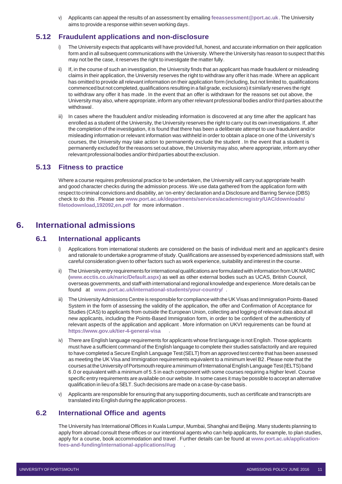v) Applicants can appeal the results of an assessment by emailing **[feeassessment@port.ac.uk](mailto:feeassessment@port.ac.uk)**. The University aims to provide a response within seven working days.

#### <span id="page-10-0"></span>**5.12 Fraudulent applications and non-disclosure**

- i) The University expects that applicants will have provided full, honest, and accurate information on their application form and in all subsequent communications with the University.Where the University has reason to suspect that this may not be the case, it reserves the right to investigate the matter fully.
- If, in the course of such an investigation, the University finds that an applicant has made fraudulent or misleading claims in their application, the University reserves the right to withdraw any offer it has made. Where an applicant has omitted to provide all relevant information on their application form (including, but not limited to, qualifications commenced but not completed, qualifications resulting in a fail grade, exclusions) it similarly reserves the right to withdraw any offer it has made . In the event that an offer is withdrawn for the reasons set out above, the University may also, where appropriate, inform any otherrelevant professional bodies and/orthird parties about the withdrawal .
- iii) In cases where the fraudulent and/or misleading information is discovered at any time after the applicant has enrolled as a student of the University, the University reserves the right to carry out its own investigations. If, after the completion of the investigation, it is found that there has been a deliberate attempt to use fraudulent and/or misleading information or relevant information was withheld in order to obtain a place on one of the University's courses, the University may take action to permanently exclude the student . In the event that a student is permanently excluded for the reasons set out above, the University may also, where appropriate, inform any other relevant professional bodies and/orthird parties about the exclusion.

#### <span id="page-10-1"></span>**5.13 Fitness to practice**

Where a course requires professional practice to be undertaken, the University will carry out appropriate health and good character checks during the admission process. We use data gathered from the application form with respect to criminal convictions and disability, an 'on-entry' declaration and a Disclosure and Barring Service (DBS) check to do this . Please see **[www.port.ac.uk/departments/services/academicregistry/UAC/downloads/](http://www.port.ac.uk/departments/services/academicregistry/UAC/downloads/filetodownload%2C192092%2Cen.pdf) [filetodownload,192092,en.pdf](http://www.port.ac.uk/departments/services/academicregistry/UAC/downloads/filetodownload%2C192092%2Cen.pdf)** for more information .

#### <span id="page-10-3"></span><span id="page-10-2"></span>**6. International admissions**

#### **6.1 International applicants**

- i) Applications from international students are considered on the basis of individual merit and an applicant's desire and rationale to undertake a programme of study. Qualifications are assessed by experienced admissions staff, with careful consideration given to other factors such as work experience, suitability and interest in the course.
- ii) The University entry requirements forinternationalqualifications areformulatedwith information from UK NARIC (**[www.ecctis.co.uk/naric/Default.aspx](http://www.ecctis.co.uk/naric/Default.aspx)**) as well as other external bodies such as UCAS, British Council, overseas governments, and staff with international and regional knowledge and experience. More details can be found at **[www.port.ac.uk/international-students/your-country/](http://www.port.ac.uk/international-students/your-country/)** .
- iii) The University Admissions Centre is responsible for compliance with the UK Visas and Immigration Points-Based System in the form of assessing the validity of the application, the offer and Confirmation of Acceptance for Studies (CAS) to applicants from outside the European Union, collecting and logging of relevant data about all new applicants, including the Points-Based Immigration form, in order to be confident of the authenticity of relevant aspects of the application and applicant . More information on UKVI requirements can be found at **<https://www.gov.uk/tier-4-general-visa>**.
- iv) There are English language requirements for applicants whose first language is not English. Those applicants must have a sufficient command of the English language to complete their studies satisfactorily and are required to have completed a Secure English Language Test (SELT) from an approved test centre that has been assessed as meeting the UK Visa and Immigration requirements equivalent to a minimum level B2. Please note that the courses at the University of Portsmouth require a minimum of International English Language Test (IELTS) band 6.0 or equivalent with a minimum of 5.5 in each component with some courses requiring a higher level. Course specific entry requirements are available on our website. In some cases it may be possible to accept an alternative qualification in lieu of a SELT. Such decisions are made on a case-by-case basis.
- v) Applicants are responsible for ensuring that any supporting documents, such as certificate and transcripts are translated intoEnglish during the application process.

#### <span id="page-10-4"></span>**6.2 International Office and agents**

The University has International Offices in Kuala Lumpur, Mumbai, Shanghai and Beijing. Many students planning to apply from abroad consult these offices or our intentional agents who can help applicants, for example, to plan studies, apply for a course, book accommodation and travel . Further details can be found at **[www.port.ac.uk/application](http://www.port.ac.uk/application-fees-and-funding/international-applications/#ug)[fees-and-funding/international-applications/#ug](http://www.port.ac.uk/application-fees-and-funding/international-applications/#ug)** .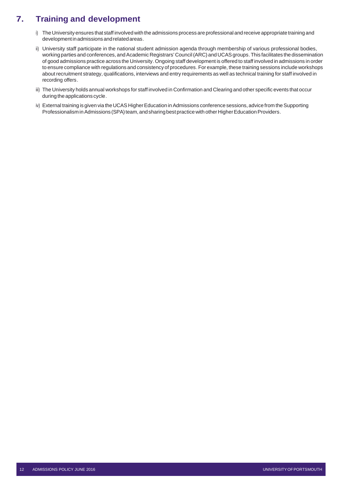## <span id="page-11-0"></span>**7. Training and development**

- i) The University ensures that staff involved with the admissions process are professional and receive appropriate trainingand developmentinadmissionsandrelatedareas.
- ii) University staff participate in the national student admission agenda through membership of various professional bodies, working parties and conferences, and Academic Registrars' Council (ARC) and UCAS groups. This facilitates the dissemination of good admissions practice across the University. Ongoing staff development is offered to staff involved in admissions in order to ensure compliance with regulations and consistency of procedures. For example, these training sessions include workshops about recruitment strategy, qualifications, interviews and entry requirements as well as technical training for staff involved in recording offers.
- iii) The University holds annual workshops for staff involved in Confirmation and Clearing and other specific events that occur during the applications cycle.
- iv) External training is given via the UCAS Higher Education in Admissions conference sessions, advice from the Supporting Professionalism in Admissions (SPA) team, and sharing best practice with other Higher Education Providers.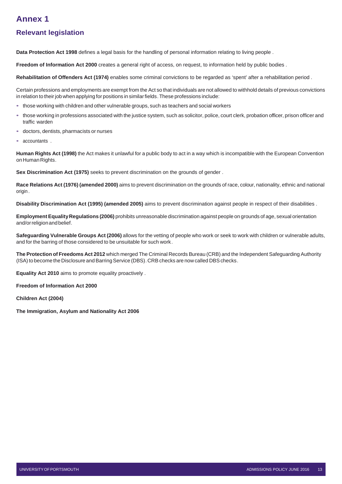## <span id="page-12-0"></span>**Annex 1**

## **Relevant legislation**

**Data Protection Act 1998** defines a legal basis for the handling of personal information relating to living people .

**Freedom of Information Act 2000** creates a general right of access, on request, to information held by public bodies .

**Rehabilitation of Offenders Act (1974)** enables some criminal convictions to be regarded as 'spent' after a rehabilitation period .

Certain professions and employments are exempt from the Act so that individuals are not allowed to withhold details of previous convictions in relation to their job when applying for positions in similar fields. These professions include:

- those working with children and other vulnerable groups, such as teachers and social workers
- those working in professions associated with the justice system, such as solicitor, police, court clerk, probation officer, prison officer and traffic warden
- doctors, dentists, pharmacists or nurses
- accountants .

**Human Rights Act (1998)** the Act makes it unlawful for a public body to act in a way which is incompatible with the European Convention on Human Rights.

**Sex Discrimination Act (1975)** seeks to prevent discrimination on the grounds of gender .

**Race Relations Act (1976) (amended 2000)** aims to prevent discrimination on the grounds of race, colour, nationality, ethnic and national origin .

**Disability Discrimination Act (1995) (amended 2005)** aims to prevent discrimination against people in respect of their disabilities .

**Employment EqualityRegulations (2006)** prohibits unreasonable discrimination against people on grounds of age, sexual orientation and/orreligionandbelief.

**Safeguarding Vulnerable Groups Act (2006)** allows for the vetting of people who work or seek to work with children or vulnerable adults, and for the barring of those considered to be unsuitable for such work.

**The Protection of Freedoms Act 2012** which merged The Criminal Records Bureau (CRB) and the Independent Safeguarding Authority (ISA) to become the Disclosure and Barring Service (DBS). CRB checks are now called DBS checks.

**Equality Act 2010** aims to promote equality proactively .

**Freedom of Information Act 2000** 

**Children Act (2004)**

**The Immigration, Asylum and Nationality Act 2006**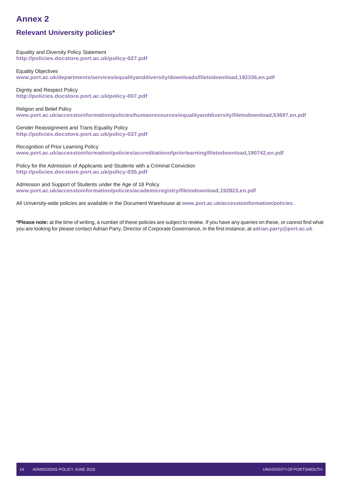## <span id="page-13-0"></span>**Annex 2**

## **Relevant University policies\***

Equality and Diversity Policy Statement **<http://policies.docstore.port.ac.uk/policy-027.pdf>**

Equality Objectives **[www.port.ac.uk/departments/services/equalityanddiversity/downloads/filetodownload,192336,en.pdf](http://www.port.ac.uk/departments/services/equalityanddiversity/downloads/filetodownload%2C192336%2Cen.pdf)**

Dignity and Respect Policy **<http://policies.docstore.port.ac.uk/policy-007.pdf>**

Religion and Belief Policy **[www.port.ac.uk/accesstoinformation/policies/humanresources/equalityanddiversity/filetodownload,53697,en.pdf](http://www.port.ac.uk/accesstoinformation/policies/humanresources/equalityanddiversity/filetodownload%2C53697%2Cen.pdf)**

Gender Reassignment and Trans Equality Policy **<http://policies.docstore.port.ac.uk/policy-037.pdf>**

Recognition of Prior Learning Policy **[www.port.ac.uk/accesstoinformation/policies/accreditationofpriorlearning/filetodownload,190742,en.pdf](http://www.port.ac.uk/accesstoinformation/policies/accreditationofpriorlearning/filetodownload%2C190742%2Cen.pdf)**

Policy for the Admission of Applicants and Students with a Criminal Conviction **<http://policies.docstore.port.ac.uk/policy-035.pdf>**

Admission and Support of Students under the Age of 18 Policy **[www.port.ac.uk/accesstoinformation/policies/academicregistry/filetodownload,192823,en.pdf](http://www.port.ac.uk/accesstoinformation/policies/academicregistry/filetodownload%2C192823%2Cen.pdf)**

All University-wide policies are available in the Document Warehouse at **[www.port.ac.uk/accesstoinformation/policies](http://www.port.ac.uk/accesstoinformation/policies)** .

**\*Please note:** at the time of writing, a number of these policies are subject to review. If you have any queries on these, or cannot find what you are looking for please contact Adrian Parry, Director of Corporate Governance, in the first instance, at **[adrian.parry@port.ac.uk](mailto:adrian.parry@port.ac.uk)**.